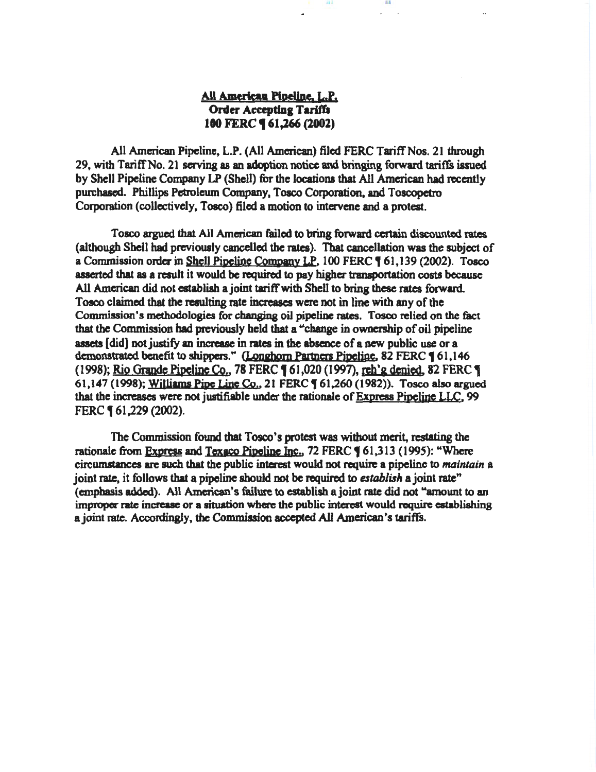# All American Pipeline, L.P. Order Accepting Tariffs 100 FERC **[61,266 (2002)**

1111 **III** I III

All American Pipeline, L.P. (All American) filed FERC Tariff Nos. 21 through 29, with TariffNo. 21 serving as an adoption notice and bringing forward tariffs issued by Shell Pipeline Company LP (Shell) for the locations that All American had recently purchased. Phillips Petroleum Company, Toaco Corporation. and Toscopetro Corporation (collectively, Toaco) filed a motion to intervene and a protest.

Tosco argued that All American failed to bring forward certain discounted rates (although Shell had previously cancelled the rates). That cancellation was the subject of a Commission order in Shell Pipeline Company LP, 100 FERC ( 61,139 (2002). Tosco asserted that as a result it would be required to pay higher transportation costs because All American did not establish a joint tariff with Shell to bring these rates forward. Tosco claimed that the resulting rate increases were not in line with any of the Commission's methodologies for changing oil pipeline rates. Tosco relied on the fact that the Commission bad previously held that a "change in owoership of oil pipeline assets [did) not justify an increase in rates in the abseoce of a new public use or a demonstrated benefit to shippers." (Longhorn Partners Pipeline, 82 FERC 161,146 (1998); Rio Grande Pipeline Co., 78 FERC 161,020 (1997), reh'g denied, 82 FERC 1 61,147 (1998); Williams Pipe Line Co., 21 FERC ( 61,260 (1982)). Tosco also argued that the increases were not justifiable under the rationale of Express Pipeline LLC, 99 FERC ¶ 61,229 (2002).

The Commission fotmd that Tosco's protest was without merit, restating the rationale from Express and Texaco Pipeline Inc., 72 FERC 161,313 (1995): "Where circumstances are such that the public interest would not require a pipeline to *maintain* a joint rate, it follows that a pipeline should not be required to *establish* a joint rate" (emphasis added). All American's failure to esaablisb a joint rate did not "amount to an improper rate increase or a situation where the public interest would require establishing a joint rate. Accordingly, the Commission accepted All American's tariffs.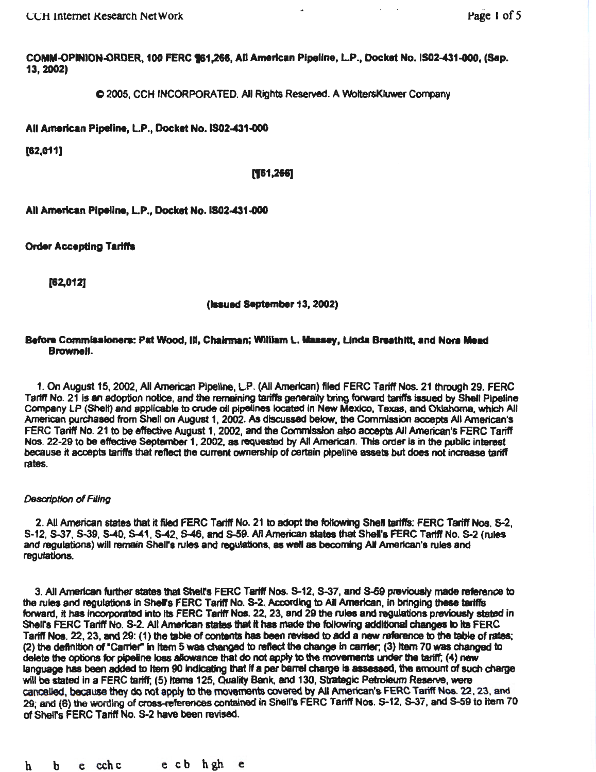COMM-OPINION-ORDER, 100 FERC 161,266, All American Pipeline, L.P., Docket No. IS02-431-000, (Sep. 13, 2002)

C 2005, CCH INCORPORATED. All Rights Reserved. A VVoltersKiuwer Company

All American Pipeline, L.P., Docket No. IS02-431-000

[62,011]

1)61.266]

All American Pipeline, L.P., Docket No. IS02-431-000

Order Accepting Tariffs

[82,012)

(lssued September 13, 2002)

## Before Commissioners: Pat Wood, III, Chairman; William L. Massey, Linda Breathitt, and Nora Mead Brownell.

1. On August 15, 2002, All American Pipeline, L.P. (All American) filed FERC Tariff Nos. 21 through 29. FERC Tariff No. 21 is an adoption notice, and the remaining tariffs generally bring forward tariffs issued by Shell Pipeline Company LP (Shelt) and applicable to crude oil pipelines located in New Mexico, Texas, and Oklahoma, which All American purchased from Shell on August 1, 2002. As discussed below, 1he Commission accepts All American's FERC Tariff No. 21 to be effective August 1, 2002, and the Commission also accepts All American's FERC Tariff Nos. 22-29 to be effective September 1, 2002, as requested by All American. This order is in the public interest because *it* accepts tariffs that reftect the current ownership of certain pipeline assets but does not increase tariff rates.

#### Descrlptlon *of* Filing

2. All American states that it filed FERC Tariff No. 21 to adopt the following Shell tariffs: FERC Tariff Nos. S-2, S-12, S-37, S-39, 5-40, S-41 , S-42, S-46, and S-59. All American states that Shel's FERC Tanff No. 5-2 (rules and regulations) will remain Shall's rules and regulations, as well as becoming AII American's rules and regutatlons.

3. All American further states that Shell's FERC Tariff Nos. S-12, S-37, and S-59 previously made reference to the rules and regulations in Shell's FERC Tariff No. S-2. According to All American, in bringing these tariffs forward, it has incorporated into its FERC Tariff Nos. 22, 23, and 29 the rules and regulations previously stated in Shell's FERC Tariff No. S-2. All American states that it has made the following additional changes to its FERC Tariff Nos. 22, 23, and 29: (1) the table of contents has been revised to add a new reference to the table of rates; (2) the definition of "Carrier" in Item 5 was changed to reflect the change in carrier; (3) Item 70 was changed to delete the options for pipeline loss allowance that do not apply to the movements under the tariff; (4) new language has been added to Item 90 indicating that if a per barrel charge is assessed, the amount of such charge will be stated in a FERC tariff; (5) Items 125, Quality Bank, and 130, Strategic Petroleum Reserve, were cancelled, because they do not apply to the movements covered by All American's FERC Tariff Nos. 22, 23, and 29; and (6) the wording of cross-references contained in Shell's FERC Tariff Nos. S-12, S-37, and S-59 to Item 70 of Shell's FERC Tariff No. S-2 have been revised.

h b e cchc e cb hgh e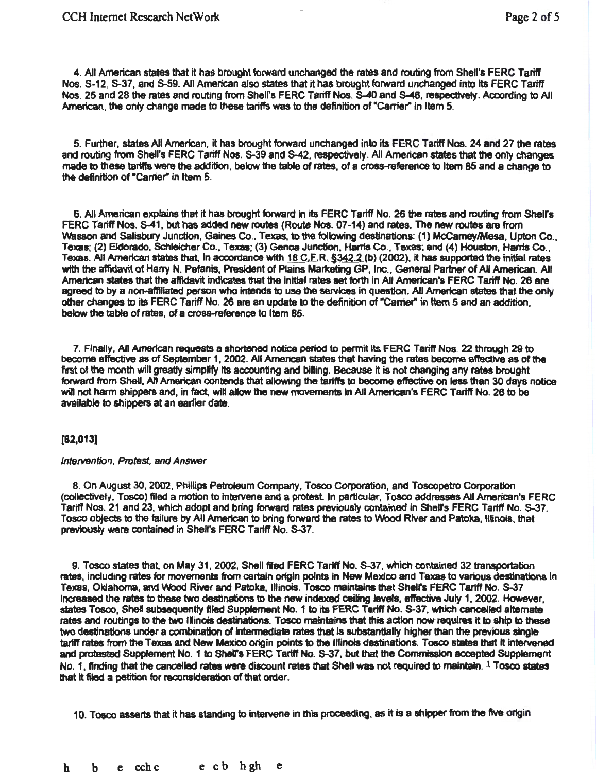4. All American states that it has brought forward unchanged the rates and routing from Shell's FERC Tariff Nos. S-12, S-37, and S-59. All American also states that It has brought forward unchanged Into Its FERC Tariff Nos. 25 and 28 the rates and routing from Shelrs FERC Tariff Nos. S-40 and S-46, respectively. According to All American, the only change made to these tariffs was to the definition of "Carrier" in Item 5.

5. Further, states All American, it has brought forward unchanged into its FERC Tariff Nos. 24 and 27 the rates and routing from Shell's FERC Tariff Nos. S-39 and S-42. respectively. All American states that the only changes made to these tariffs were the addition, below the table of rates, of a cross-reference to Item 85 and a change to the definition of "Carrier" in Item 5.

6. All American explains that it has brought forward in its FERC Tariff No. 26 the rates and routing from Shell's FERC Tariff Nos. S-41, but has added new routes (Route Nos. 07-14) and rates. The new routes are from Wasson and Salisbury Junction, Gaines Co., Texas, to the following destinations: (1) McCamey/Mesa, Upton Co., Texas; (2) EJdorado, Schleicher Co., Texas; (3) Genoa Junction, Harris Co., Texas; and (4) Houston, Hania Co., Texas. All American states that, in accordance with 18 C,F.R. §342.2 (b) (2002), it has supported the initial rates with the affidavit of Harry N. Pefanis, President of Plains Marketing GP, Inc., General Partner of All American. All American states that the affidavit indicates that the initial rates set forth in All American's FERC Tariff No. 26 are agreed to by a non-affiliated person who intends to use the services in question. All American states that the only other changes to its FERC Tariff No. 26 are an update to the definition of "Carrie(' in ttem 5 and an addition, below the table of rates, of a cross-reference to Item 85.

7. Finally, All American requests a shortened notice period to permit its FERC Tariff Nos. 22 through 29 to become effective as of September 1, 2002. All American states that having the rates become ef'fective as of the first of the month will greatly simplify its accounting and billing. Because it is not changing any rates brought folward from SheU, All American contends that allowing the tariffs to become effective on less than 30 days notice will not harm shippers and, in fact, will allow the new movements in All American's FERC Tariff No. 26 to be available to shippers at an earlier date.

## [82,013]

#### Intervention, Protest, and Answer

8. On August 30,2002, Phillips Petraeum Company, Tosco Corporation, and Toscopetro Corporation (collectively, Tosco) filed a motion to intervene and a protest. In particular, Tosco addresses All American's FERC Tariff Nos. 21 and 23, which adopt and bring forward rates previously contained in Shelrs FERC Tariff No. S-37. Tosco objects to the failure by Ail American to bring forward the rates to Wood River and Patoka, lilinois, that previously were contained in Shell's FERC Tariff No. S-37.

9. Tosco states that. on May 31, 2002, Shell filed FERC Tariff No. S-37, which contained 32 transportation rates, including rates for movements from certain origin points in New Mexico and Texas to various destinations in Texas, Oklahoma, and Wood River and Patoka, Illinois. Tosco maintains that Shell's FERC Tariff No. S-37 increased the rates to these two destinations to the new indexed ceiling levels, effective July 1, 2002. However, states Tosco, Shell subsequently filed Supplement No. 1 to its FERC Tariff No. S-37, which cancelled alternate rates and routings to the two illinois destinations. Tosco maintains that this action now requires it to ship to these two destinations under a combination of intermediate rates that is substantially higher than the previous single tariff rates from the Texas and New Mexico origin points to the Illinois destinations. Toeco states that It intervened and protested Supplement No. 1 to Shell's FERC Tariff No. S-37, but that the Commission accepted Supplement No. 1, finding that the cancelled rates were discount rates that Shell was not required to maintain. 1 Tosco states that it filed a petition for reconsideration of that order.

10. Tosco asserts that it has standing to intervene in this proceeding, as it is a shipper from the five origin

h b e cchc e cb hgh e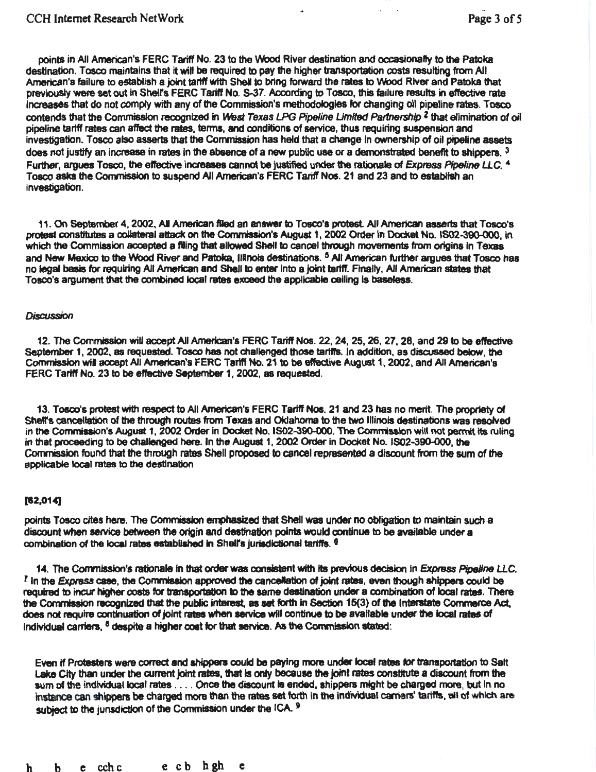points in All American's FERC Tariff No. 23 to the Wood River destination and occasionally to the Patoka destination. Tosco maintains that it will be required to pay the higher transportation costs resulting from All American's failure to establish a joint tariff with Shell to bring forward the rates to Wood River and Patoka that previously were set out in Shell's FERC Tariff No. S-37. According to Tosco, this failure results in effective rate increases that do not comply with any of the Commission's methodologies for changing oil pipeline rates. Tosco contends that the Commission recognized in West Texas LPG Pipeline Limited Partnership <sup>2</sup> that elimination of oil pipeline tartff rates can affect the rates, terms, and conditions of service, thus requiring suspension and investigation. Tosco also asserts that the Commission has held that a change in ownership of oil pipeline assets does not justify an increase in rates in the absence of a new public use or a demonstrated benefit to shippers.  $3$ Further, argues Tosco, the effective increases cannot be justified under the rationale of Express Pipeline LLC. 4 Toaco asks the Commission to suspend All American's FERC Tariff Nos. 21 and 23 and to estabHsh an investigation.

11. On September 4, 2002, All American filed an answer to Tosco's protest. All American asserts that Tosco's protest constitutes a collateral attack on the Commission's August 1, 2002 Order in Docket No. IS02-390-000, in which the Commission accepted a filing that allowed Shell to cancel through movements from origins in Texas and New Mexico to the Wood River and Patoka, Illinois destinations. <sup>5</sup> All American further argues that Tosco has no legal basis for requiring All American and Shell to enter into a joint tariff. Finally, All American states that Tosco's argument that the combined local rates exceed the applicable ceiling is baseless.

#### **Discussion**

12. The Commission wid accept All American's FERC Tariff Nos. 22, 24, 25, 26, 27. 28, and 29 to be effective September 1, 2002, as requested. Tosco has not challenged those tariffs. In addition, as discussed below, the Commission wll accept All American's FERC Tariff No. 21 to be effectjye August 1, 2002, and All American's FERC Tariff No. 23 to be effective September 1, 2002, as requested.

13. Tosco's protest with respect to All American's FERC Tariff Nos. 21 and 23 has no merit The propriety of Shell's cancellation of the through routes from Texas and Oklahoma to the two Illinois destinations was resolved in the Commission's August 1, 2002 Order In Docket No. 1502-390-000. The Commission will not permit Its ruling in that proceeding to be challenged here. In the August 1, 2002 Order in Docket No. IS02-390-000, the Commission found that the through rates Shell proposed to cancel represented a dtsoount from the sum of the applicable local rates to the destination

## [12,014]

points Tosco cites here. The Commission emphasized that Shell was under no obligation to maintain such a discount when service between the origin and destination points would continue to be available under a combination of the local rates established in Shell's jurisdictional tariffs. <sup>6</sup>

14. The Commission's rationale in that order was consistent with its previous decision in *Express Pipeline LLC.*  $I$  in the Express case, the Commission approved the cancellation of joint rates, even though shippers could be required to incur higher costs for transportation to the same destination under a combination of local rates. There the Commission recognized that the public interest, as set forth in Section 15(3) of the Interstate Commerce Act. does not require continuation of joint rates when service will continue to be available under the local rates of individual carriers,  $<sup>8</sup>$  despite a higher cost for that service. As the Commission stated:</sup>

Even if Protesters were correct and shippers could be paying more under local rates for transportation to Salt Lake City than under the current joint rates, that is only because the joint rates constitute a discount from the sum of the individual local rates .... Once the discount is ended, shippers might be charged more, but in no instance can shippers be charged more than the rates set forth in the individual carriers' tariffs, all of which are subject to the jurisdiction of the Commission under the ICA. 9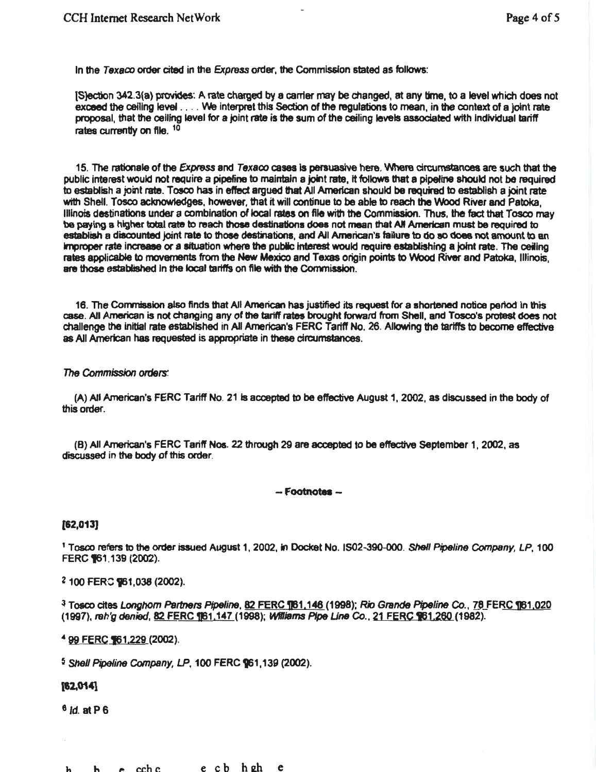In the Texaco order cited in the Express order, the Commission stated as follows:

[S]ection 342.3(a) provides: A rate charged by a earner may be changed, at any time, to a level which does not exceed the ceiling level . . . . We interpret this Section of the regulations to mean, in the context of a joint rate proposal, that the ceiling level for a joint rate is the sum of the ceiling levels associated with Individual tariff rates currently on file.<sup>10</sup>

15. The rationale of the Express and Texaco cases is persuasive here. Where circumstances are such that the public interest would not require a pipeline to maintain a joint rate, it follows that a pipeline should not be required to establish a joint rate. Tosco has in effect argued that All American should be required to establish a joint rate with Shell. Tosco acknowledges, however, that it will continue to be able to reach the Wood River and Patoka, Illinois destinations under a combination of local rates on file with the Commission. Thus, the fact that Tosco may be paying a higher total rate to reach those destinations does not mean that All American must be required to establish a discounted joint rate to those destinations, and All American's failure to do so does not amount to an Improper rate increase Of' a situation where the public Interest would require establishing a joint rate. The ceiling rates applicable to movements from the New Mexico and Texas origin points to Wood River and Patoka, Illinois, are those established In the local tariffs on file with the Commission.

16. The Commission also finds that All American has justified its request for a shortened notice period In this case. All American is not changing any of the tariff rates brought forward from Shell, and Tosco's protest does not challenge the initial rate established in All American's FERC Tariff No. 26. Allowing the tariffs to become effective as All American has requested is appropriate in these circumstances.

## *The* Commission orders:

(A) All American's FERC Tariff No. 21 is accepted to be effective August 1, 2002, as discussed in the body of this order.

(B) All American's FERC Tariff Nos. 22 through 29 are accepted to be effective September 1, 2002, as discussed in the body of this order.

- Footnotas -

(82,013]

<sup>1</sup> Tosco refers to the order issued August 1, 2002, in Docket No. IS02-390-000. Shell Pipeline Company, LP, 100 FERC **161** 139 (2002).

<sup>2</sup> 100 FERC 961,038 (2002).

<sup>3</sup> Tosco cites Longhorn Partners Pipeline. 82 FERC 1161.146 (1998); Rio Grande Pipeline Co., 78 FERC 1161.020 (1997), reh'g denied, 82 FERC 161,147 (1998); Williams Pipe Line Co., 21 FERC 161,260 (1982).

<sup>4</sup> 99 FERC **161,229 (2002).** 

 $5$  Shell Pipeline Company, LP, 100 FERC  $961,139$  (2002).

## (82,014]

 $6$  *id.* at P $6$ 

h h e cchc e cb hsdl e